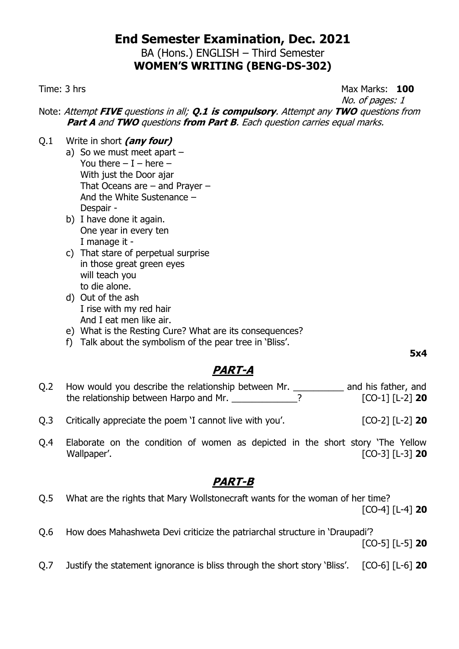BA (Hons.) ENGLISH – Third Semester **WOMEN'S WRITING (BENG-DS-302)**

#### Time: 3 hrs **100**

No. of pages: 1

Note: Attempt **FIVE** questions in all; **Q.1 is compulsory**. Attempt any **TWO** questions from **Part A** and **TWO** questions **from Part B**. Each question carries equal marks.

- Q.1 Write in short **(any four)**
	- a) So we must meet apart You there  $- I -$  here  $-$ With just the Door ajar That Oceans are – and Prayer – And the White Sustenance – Despair -
	- b) I have done it again. One year in every ten I manage it -
	- c) That stare of perpetual surprise in those great green eyes will teach you to die alone.
	- d) Out of the ash I rise with my red hair And I eat men like air.
	- e) What is the Resting Cure? What are its consequences?
	- f) Talk about the symbolism of the pear tree in 'Bliss'.

**5x4**

## **PART-A**

| Q.2 | How would you describe the relationship between Mr. | and his father, and |
|-----|-----------------------------------------------------|---------------------|
|     | the relationship between Harpo and Mr.              | $[CO-1]$ $[L-2]$ 20 |

- Q.3 Critically appreciate the poem 'I cannot live with you'. [CO-2] [L-2] **20**
- Q.4 Elaborate on the condition of women as depicted in the short story 'The Yellow Wallpaper'. [CO-3] [L-3] **20**

## **PART-B**

- Q.5 What are the rights that Mary Wollstonecraft wants for the woman of her time? [CO-4] [L-4] **20**
- Q.6 How does Mahashweta Devi criticize the patriarchal structure in 'Draupadi'?

[CO-5] [L-5] **20**

Q.7 Justify the statement ignorance is bliss through the short story 'Bliss'. [CO-6] [L-6] **20**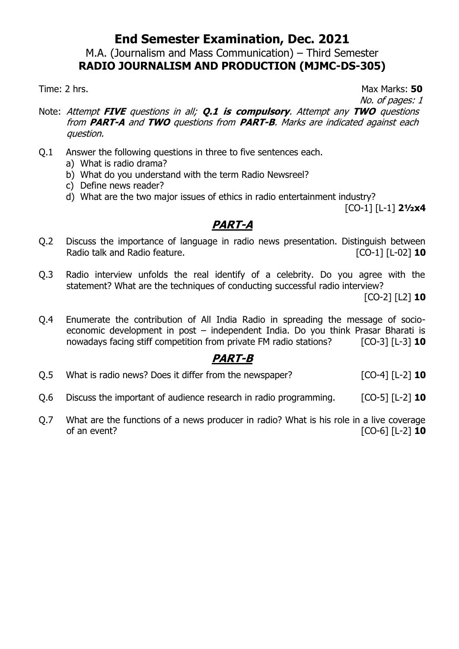M.A. (Journalism and Mass Communication) – Third Semester **RADIO JOURNALISM AND PRODUCTION (MJMC-DS-305)**

Time: 2 hrs. Max Marks: 50

No. of pages: 1

- Note: Attempt **FIVE** questions in all; **Q.1 is compulsory**. Attempt any **TWO** questions from **PART-A** and **TWO** questions from **PART-B**. Marks are indicated against each question.
- Q.1 Answer the following questions in three to five sentences each.
	- a) What is radio drama?
	- b) What do you understand with the term Radio Newsreel?
	- c) Define news reader?
	- d) What are the two major issues of ethics in radio entertainment industry?

[CO-1] [L-1] **2½x4**

## **PART-A**

- Q.2 Discuss the importance of language in radio news presentation. Distinguish between Radio talk and Radio feature. **Example 20 and Radio feature. [CO-1]** [L-02] **10**
- Q.3 Radio interview unfolds the real identify of a celebrity. Do you agree with the statement? What are the techniques of conducting successful radio interview?

[CO-2] [L2] **10**

Q.4 Enumerate the contribution of All India Radio in spreading the message of socioeconomic development in post – independent India. Do you think Prasar Bharati is nowadays facing stiff competition from private FM radio stations? [CO-3] [L-3] **10**

- Q.5 What is radio news? Does it differ from the newspaper? [CO-4] [L-2] **10**
- Q.6 Discuss the important of audience research in radio programming. [CO-5] [L-2] **10**
- Q.7 What are the functions of a news producer in radio? What is his role in a live coverage of an event? [CO-6] [L-2] **10**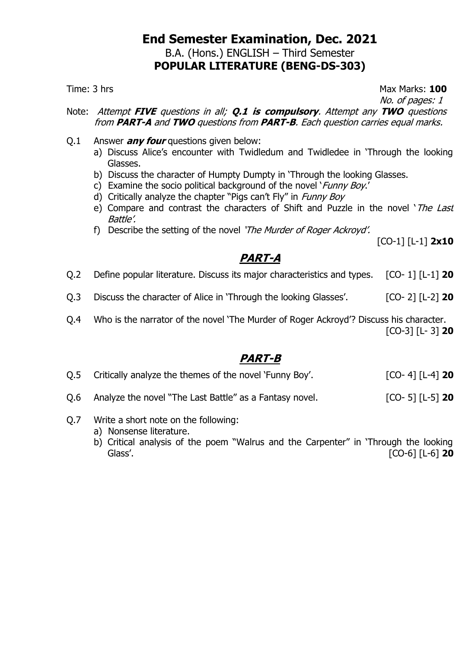#### **End Semester Examination, Dec. 2021** B.A. (Hons.) ENGLISH – Third Semester **POPULAR LITERATURE (BENG-DS-303)**

Time: 3 hrs **Max Marks: 100** 

No. of pages: 1

Note: Attempt **FIVE** questions in all; **Q.1 is compulsory**. Attempt any **TWO** questions from **PART-A** and **TWO** questions from **PART-B**. Each question carries equal marks.

- Q.1 Answer **any four** questions given below:
	- a) Discuss Alice's encounter with Twidledum and Twidledee in 'Through the looking Glasses.
	- b) Discuss the character of Humpty Dumpty in 'Through the looking Glasses.
	- c) Examine the socio political background of the novel '*Funny Boy.'*
	- d) Critically analyze the chapter "Pigs can't Fly" in Funny Boy
	- e) Compare and contrast the characters of Shift and Puzzle in the novel '*The Last* Battle'.
	- f) Describe the setting of the novel 'The Murder of Roger Ackroyd'.

[CO-1] [L-1] **2x10**

## **PART-A**

Q.2 Define popular literature. Discuss its major characteristics and types. [CO- 1] [L-1] **20**

- Q.3 Discuss the character of Alice in 'Through the looking Glasses'. [CO- 2] [L-2] **20**
- Q.4 Who is the narrator of the novel 'The Murder of Roger Ackroyd'? Discuss his character. [CO-3] [L- 3] **20**

- Q.5 Critically analyze the themes of the novel 'Funny Boy'. [CO- 4] [L-4] **20**
- Q.6 Analyze the novel "The Last Battle" as a Fantasy novel. [CO- 5] [L-5] **20**
- Q.7 Write a short note on the following:
	- a) Nonsense literature.
	- b) Critical analysis of the poem "Walrus and the Carpenter" in 'Through the looking Glass'. [CO-6] [L-6] **20**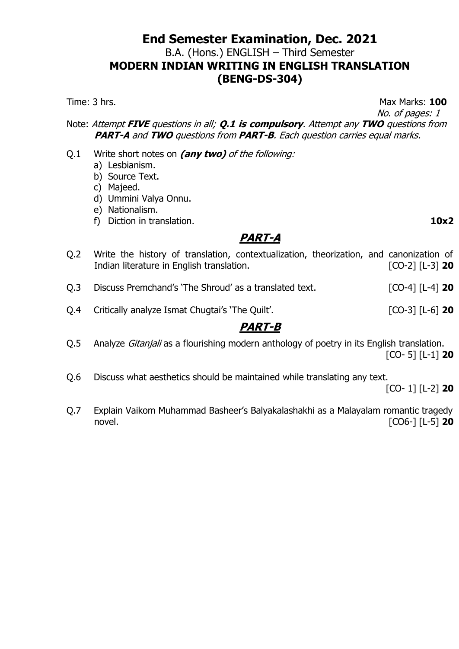## **End Semester Examination, Dec. 2021** B.A. (Hons.) ENGLISH – Third Semester **MODERN INDIAN WRITING IN ENGLISH TRANSLATION (BENG-DS-304)**

Time: 3 hrs. **100** 

 No. of pages: 1 Note: Attempt **FIVE** questions in all; **Q.1 is compulsory**. Attempt any **TWO** questions from

**PART-A** and **TWO** questions from **PART-B**. Each question carries equal marks.

- Q.1 Write short notes on **(any two)** of the following:
	- a) Lesbianism.
	- b) Source Text.
	- c) Majeed.
	- d) Ummini Valya Onnu.
	- e) Nationalism.
	- f) Diction in translation. **10x2**

## **PART-A**

- Q.2 Write the history of translation, contextualization, theorization, and canonization of Indian literature in English translation. [CO-2] [L-3] **20** Q.3 Discuss Premchand's 'The Shroud' as a translated text. [CO-4] [L-4] **20** Q.4 Critically analyze Ismat Chugtai's 'The Quilt'. [CO-3] [L-6] **20 PART-B**
- Q.5 Analyze *Gitanjali* as a flourishing modern anthology of poetry in its English translation. [CO- 5] [L-1] **20**
- Q.6 Discuss what aesthetics should be maintained while translating any text. [CO- 1] [L-2] **20**
- Q.7 Explain Vaikom Muhammad Basheer's Balyakalashakhi as a Malayalam romantic tragedy novel. [CO6-] [L-5] **20**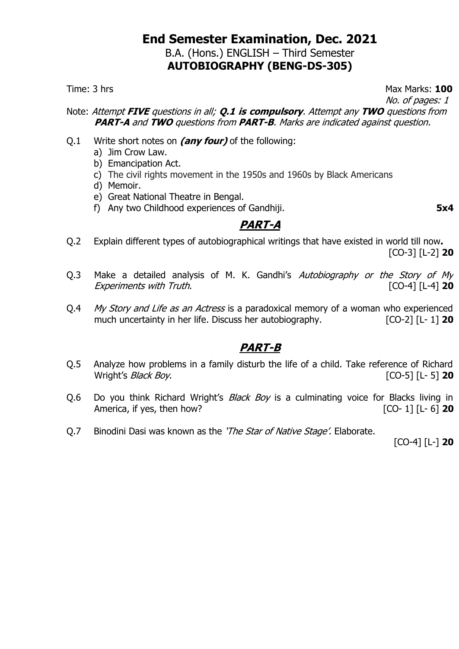#### **End Semester Examination, Dec. 2021** B.A. (Hons.) ENGLISH – Third Semester **AUTOBIOGRAPHY (BENG-DS-305)**

Time: 3 hrs Max Marks: 100 No. of pages: 1

Note: Attempt **FIVE** questions in all; **Q.1 is compulsory**. Attempt any **TWO** questions from **PART-A** and **TWO** questions from **PART-B**. Marks are indicated against question.

- Q.1 Write short notes on **(any four)** of the following:
	- a) Jim Crow Law.
	- b) Emancipation Act.
	- c) The civil rights movement in the 1950s and 1960s by Black Americans
	- d) Memoir.
	- e) Great National Theatre in Bengal.
	- f) Any two Childhood experiences of Gandhiji. **5x4**

## **PART-A**

- Q.2 Explain different types of autobiographical writings that have existed in world till now**.** [CO-3] [L-2] **20**
- Q.3 Make a detailed analysis of M. K. Gandhi's Autobiography or the Story of My Experiments with Truth. [CO-4] [L-4] **20**
- Q.4 My Story and Life as an Actress is a paradoxical memory of a woman who experienced much uncertainty in her life. Discuss her autobiography. [CO-2] [L- 1] 20

## **PART-B**

- Q.5 Analyze how problems in a family disturb the life of a child. Take reference of Richard Wright's Black Boy. [CO-5] [L- 5] **20**
- Q.6 Do you think Richard Wright's Black Boy is a culminating voice for Blacks living in America, if yes, then how? [CO- 1] [L- 6] **20**
- Q.7 Binodini Dasi was known as the '*The Star of Native Stage'*. Elaborate.

[CO-4] [L-] **20**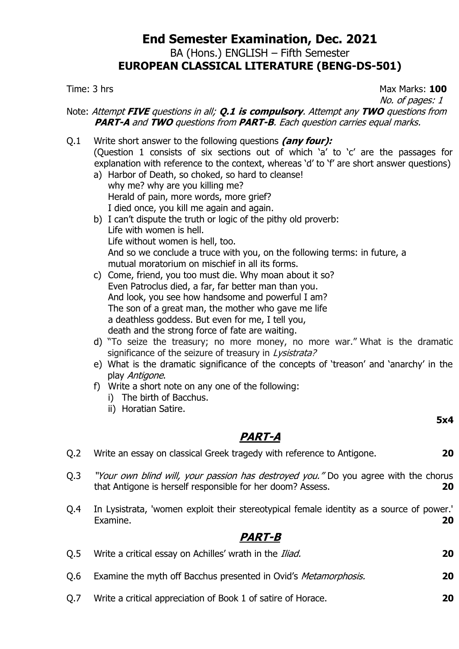## **End Semester Examination, Dec. 2021** BA (Hons.) ENGLISH – Fifth Semester **EUROPEAN CLASSICAL LITERATURE (BENG-DS-501)**

Time: 3 hrs Max Marks: 100 No. of pages: 1

Note: Attempt **FIVE** questions in all; **Q.1 is compulsory**. Attempt any **TWO** questions from **PART-A** and **TWO** questions from **PART-B**. Each question carries equal marks.

- Q.1 Write short answer to the following questions **(any four):** (Question 1 consists of six sections out of which 'a' to 'c' are the passages for explanation with reference to the context, whereas 'd' to 'f' are short answer questions)
	- a) Harbor of Death, so choked, so hard to cleanse! why me? why are you killing me? Herald of pain, more words, more grief? I died once, you kill me again and again.
	- b) I can't dispute the truth or logic of the pithy old proverb: Life with women is hell. Life without women is hell, too. And so we conclude a truce with you, on the following terms: in future, a mutual moratorium on mischief in all its forms.
	- c) Come, friend, you too must die. Why moan about it so? Even Patroclus died, a far, far better man than you. And look, you see how handsome and powerful I am? The son of a great man, the mother who gave me life a deathless goddess. But even for me, I tell you, death and the strong force of fate are waiting.
	- d) "To seize the treasury; no more money, no more war." What is the dramatic significance of the seizure of treasury in Lysistrata?
	- e) What is the dramatic significance of the concepts of 'treason' and 'anarchy' in the play Antigone.
	- f) Write a short note on any one of the following:
		- i) The birth of Bacchus.
		- ii) Horatian Satire.

**5x4**

## **PART-A**

- Q.2 Write an essay on classical Greek tragedy with reference to Antigone. **20**
- Q.3 "Your own blind will, your passion has destroyed you." Do you agree with the chorus that Antigone is herself responsible for her doom? Assess. **20**
- Q.4 In Lysistrata, 'women exploit their stereotypical female identity as a source of power.' Examine. **20**

# **PART-B**

Q.5 Write a critical essay on Achilles' wrath in the Iliad. **20** Q.6 Examine the myth off Bacchus presented in Ovid's Metamorphosis. **20** Q.7 Write a critical appreciation of Book 1 of satire of Horace. **20**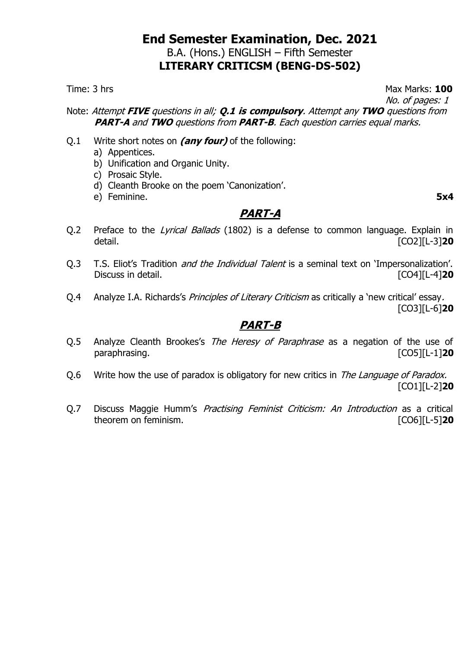#### **End Semester Examination, Dec. 2021** B.A. (Hons.) ENGLISH – Fifth Semester **LITERARY CRITICSM (BENG-DS-502)**

Time: 3 hrs Max Marks: 100 No. of pages: 1

Note: Attempt **FIVE** questions in all; **Q.1 is compulsory**. Attempt any **TWO** questions from **PART-A** and **TWO** questions from **PART-B**. Each question carries equal marks.

- Q.1 Write short notes on **(any four)** of the following:
	- a) Appentices.
	- b) Unification and Organic Unity.
	- c) Prosaic Style.
	- d) Cleanth Brooke on the poem 'Canonization'.
	- e) Feminine. **5x4**

#### **PART-A**

- Q.2 Preface to the Lyrical Ballads (1802) is a defense to common language. Explain in detail. [CO2][L-3]**20**
- Q.3 T.S. Eliot's Tradition *and the Individual Talent* is a seminal text on 'Impersonalization'. Discuss in detail. [CO4][L-4]**20**
- Q.4 Analyze I.A. Richards's *Principles of Literary Criticism* as critically a 'new critical' essay. [CO3][L-6]**20**

- Q.5 Analyze Cleanth Brookes's The Heresy of Paraphrase as a negation of the use of paraphrasing. [CO5][L-1]**20**
- Q.6 Write how the use of paradox is obligatory for new critics in The Language of Paradox. [CO1][L-2]**20**
- Q.7 Discuss Maggie Humm's *Practising Feminist Criticism: An Introduction* as a critical theorem on feminism. [CO6][L-5]**20**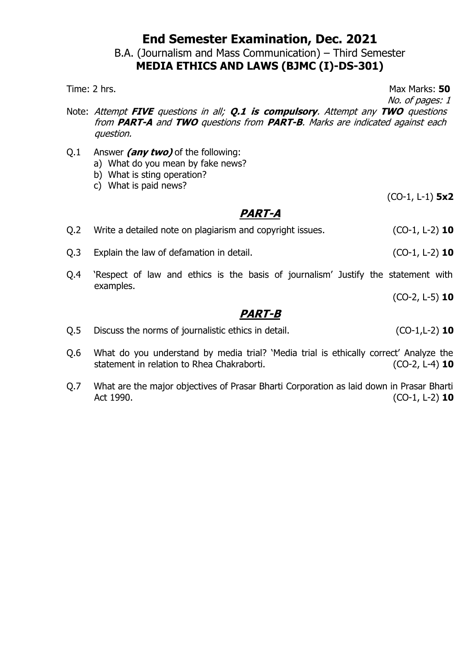#### B.A. (Journalism and Mass Communication) – Third Semester **MEDIA ETHICS AND LAWS (BJMC (I)-DS-301)**

Time: 2 hrs. Max Marks: 50

No. of pages: 1

- Note: Attempt **FIVE** questions in all; **Q.1 is compulsory**. Attempt any **TWO** questions from **PART-A** and **TWO** questions from **PART-B**. Marks are indicated against each question.
- Q.1 Answer **(any two)** of the following:
	- a) What do you mean by fake news?
	- b) What is sting operation?
	- c) What is paid news?

(CO-1, L-1) **5x2**

#### **PART-A**

| Q.2 | Write a detailed note on plagiarism and copyright issues. | $(CO-1, L-2)$ 10 |
|-----|-----------------------------------------------------------|------------------|
| 0.3 | Explain the law of defamation in detail.                  | $(CO-1, L-2)$ 10 |

Q.4 'Respect of law and ethics is the basis of journalism' Justify the statement with examples.

(CO-2, L-5) **10**

- Q.5 Discuss the norms of journalistic ethics in detail. (CO-1,L-2) **10**
- Q.6 What do you understand by media trial? 'Media trial is ethically correct' Analyze the statement in relation to Rhea Chakraborti. (CO-2, L-4) **10**
- Q.7 What are the major objectives of Prasar Bharti Corporation as laid down in Prasar Bharti Act 1990. (CO-1, L-2) **10**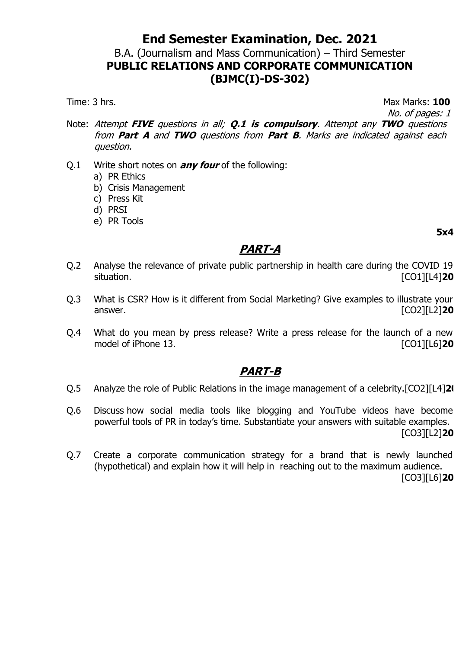#### B.A. (Journalism and Mass Communication) – Third Semester **PUBLIC RELATIONS AND CORPORATE COMMUNICATION (BJMC(I)-DS-302)**

Time: 3 hrs. **100** 

No. of pages: 1

- Note: Attempt **FIVE** questions in all; **Q.1 is compulsory**. Attempt any **TWO** questions from **Part A** and **TWO** questions from **Part B**. Marks are indicated against each question.
- Q.1 Write short notes on **any four** of the following:
	- a) PR Ethics
	- b) Crisis Management
	- c) Press Kit
	- d) PRSI
	- e) PR Tools

**5x4**

## **PART-A**

- Q.2 Analyse the relevance of private public partnership in health care during the COVID 19 situation. [CO1][L4]**20**
- Q.3 What is CSR? How is it different from Social Marketing? Give examples to illustrate your answer. [CO2][L2]**20**
- Q.4 What do you mean by press release? Write a press release for the launch of a new model of iPhone 13. *CO1* **I**CO1**]**[L6]**20**

## **PART-B**

- Q.5 Analyze the role of Public Relations in the image management of a celebrity.[CO2][L4]**20**
- Q.6 Discuss how social media tools like blogging and YouTube videos have become powerful tools of PR in today's time. Substantiate your answers with suitable examples. [CO3][L2]**20**
- Q.7 Create a corporate communication strategy for a brand that is newly launched (hypothetical) and explain how it will help in reaching out to the maximum audience.

[CO3][L6]**20**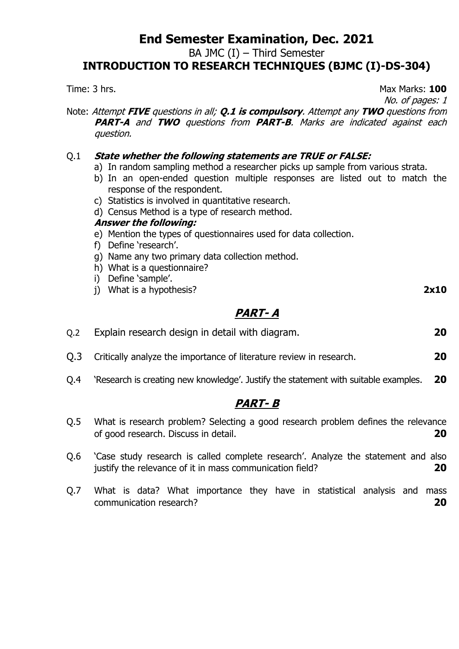BA JMC (I) – Third Semester

**INTRODUCTION TO RESEARCH TECHNIQUES (BJMC (I)-DS-304)**

No. of pages: 1 Note: Attempt **FIVE** questions in all; **Q.1 is compulsory**. Attempt any **TWO** questions from **PART-A** and **TWO** questions from **PART-B**. Marks are indicated against each question. Q.1 **State whether the following statements are TRUE or FALSE:** a) In random sampling method a researcher picks up sample from various strata. b) In an open-ended question multiple responses are listed out to match the response of the respondent. c) Statistics is involved in quantitative research. d) Census Method is a type of research method. **Answer the following:** e) Mention the types of questionnaires used for data collection. f) Define 'research'. g) Name any two primary data collection method. h) What is a questionnaire? i) Define 'sample'. j) What is a hypothesis? **2x10 PART- A** Q.2 Explain research design in detail with diagram. **20** Q.3 Critically analyze the importance of literature review in research. **20** Q.4 'Research is creating new knowledge'. Justify the statement with suitable examples. **20**

## **PART- B**

- Q.5 What is research problem? Selecting a good research problem defines the relevance of good research. Discuss in detail. **20**
- Q.6 'Case study research is called complete research'. Analyze the statement and also justify the relevance of it in mass communication field? **20**
- Q.7 What is data? What importance they have in statistical analysis and mass communication research? **20**

Time: 3 hrs. **100**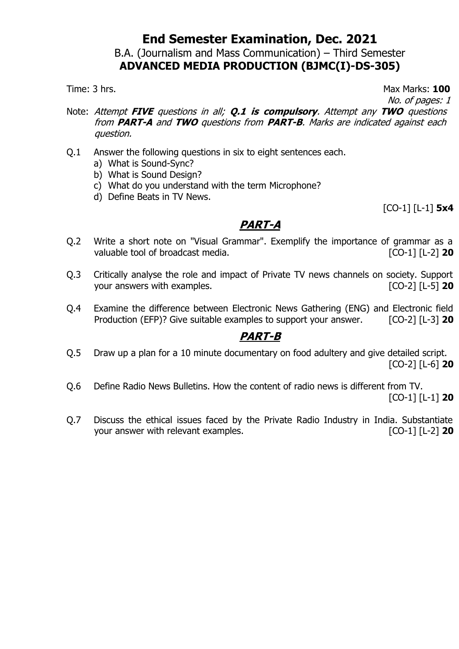#### B.A. (Journalism and Mass Communication) – Third Semester **ADVANCED MEDIA PRODUCTION (BJMC(I)-DS-305)**

Time: 3 hrs. Max Marks: **100**

- No. of pages: 1
- Note: Attempt **FIVE** questions in all; **Q.1 is compulsory**. Attempt any **TWO** questions from **PART-A** and **TWO** questions from **PART-B**. Marks are indicated against each question.
- Q.1 Answer the following questions in six to eight sentences each.
	- a) What is Sound-Sync?
	- b) What is Sound Design?
	- c) What do you understand with the term Microphone?
	- d) Define Beats in TV News.

[CO-1] [L-1] **5x4**

## **PART-A**

- Q.2 Write a short note on "Visual Grammar". Exemplify the importance of grammar as a valuable tool of broadcast media. [CO-1] [L-2] **20**
- Q.3 Critically analyse the role and impact of Private TV news channels on society. Support your answers with examples. [CO-2] [L-5] **20**
- Q.4 Examine the difference between Electronic News Gathering (ENG) and Electronic field Production (EFP)? Give suitable examples to support your answer. [CO-2] [L-3] **20**

## **PART-B**

- Q.5 Draw up a plan for a 10 minute documentary on food adultery and give detailed script. [CO-2] [L-6] **20**
- Q.6 Define Radio News Bulletins. How the content of radio news is different from TV.

[CO-1] [L-1] **20**

Q.7 Discuss the ethical issues faced by the Private Radio Industry in India. Substantiate your answer with relevant examples. [CO-1] [L-2] **20**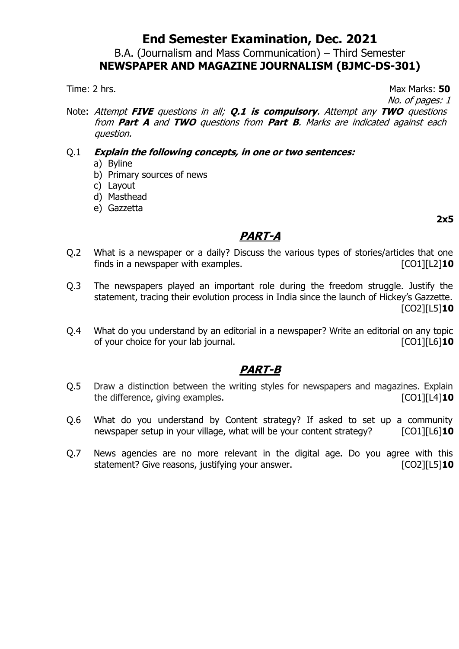#### B.A. (Journalism and Mass Communication) – Third Semester **NEWSPAPER AND MAGAZINE JOURNALISM (BJMC-DS-301)**

Time: 2 hrs. Max Marks: 50

No. of pages: 1

Note: Attempt **FIVE** questions in all; **Q.1 is compulsory**. Attempt any **TWO** questions from **Part A** and **TWO** questions from **Part B**. Marks are indicated against each question.

#### Q.1 **Explain the following concepts, in one or two sentences:**

- a) Byline
- b) Primary sources of news
- c) Layout
- d) Masthead
- e) Gazzetta

**2x5**

## **PART-A**

- Q.2 What is a newspaper or a daily? Discuss the various types of stories/articles that one finds in a newspaper with examples. [CO1][L2]**10**
- Q.3 The newspapers played an important role during the freedom struggle. Justify the statement, tracing their evolution process in India since the launch of Hickey's Gazzette. [CO2][L5]**10**
- Q.4 What do you understand by an editorial in a newspaper? Write an editorial on any topic of your choice for your lab journal. [CO1][L6]**10**

- Q.5 Draw a distinction between the writing styles for newspapers and magazines. Explain the difference, giving examples. The difference of  $\lceil \text{CO1} \rceil \lceil \text{L4} \rceil$ **10**
- Q.6 What do you understand by Content strategy? If asked to set up a community newspaper setup in your village, what will be your content strategy? [CO1][L6]**10**
- Q.7 News agencies are no more relevant in the digital age. Do you agree with this statement? Give reasons, justifying your answer. [CO2][L5]**10**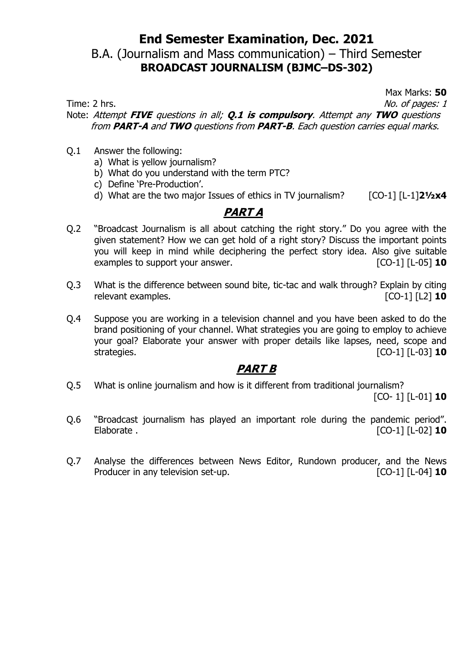## B.A. (Journalism and Mass communication) – Third Semester **BROADCAST JOURNALISM (BJMC–DS-302)**

Max Marks: **50**

Time: 2 hrs.  $\blacksquare$ 

Note: Attempt **FIVE** questions in all; **Q.1 is compulsory**. Attempt any **TWO** questions from **PART-A** and **TWO** questions from **PART-B**. Each question carries equal marks.

- Q.1 Answer the following:
	- a) What is yellow journalism?
	- b) What do you understand with the term PTC?
	- c) Define 'Pre-Production'.
	- d) What are the two major Issues of ethics in TV journalism? [CO-1] [L-1]**2½x4**

#### **PART A**

- Q.2 "Broadcast Journalism is all about catching the right story." Do you agree with the given statement? How we can get hold of a right story? Discuss the important points you will keep in mind while deciphering the perfect story idea. Also give suitable examples to support your answer. [CO-1] [L-05] **10**
- Q.3 What is the difference between sound bite, tic-tac and walk through? Explain by citing relevant examples. **In the case of the contract of the contract of the contract of the contract of the contract of the contract of the contract of the contract of the contract of the contract of the contract of the contrac**
- Q.4 Suppose you are working in a television channel and you have been asked to do the brand positioning of your channel. What strategies you are going to employ to achieve your goal? Elaborate your answer with proper details like lapses, need, scope and strategies. [CO-1] [L-03] **10**

## **PART B**

Q.5 What is online journalism and how is it different from traditional journalism?

[CO- 1] [L-01] **10**

- Q.6 "Broadcast journalism has played an important role during the pandemic period". Elaborate . [CO-1] [L-02] **10**
- Q.7 Analyse the differences between News Editor, Rundown producer, and the News Producer in any television set-up.  $\begin{bmatrix} CO-1 \end{bmatrix}$  [L-04] **10**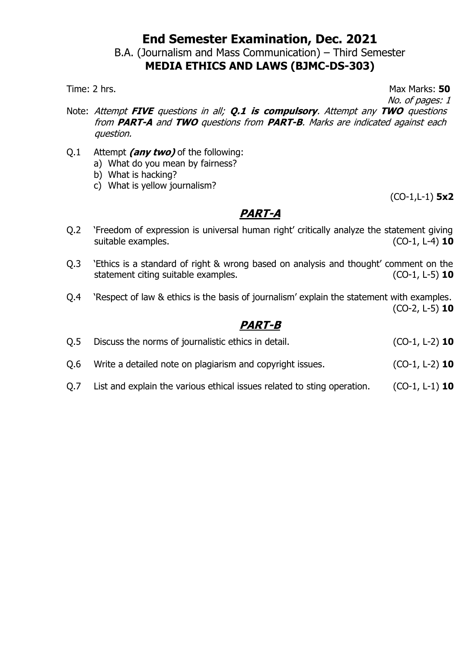# B.A. (Journalism and Mass Communication) – Third Semester

**MEDIA ETHICS AND LAWS (BJMC-DS-303)**

Time: 2 hrs. **50** No. of pages: 1

- Note: Attempt **FIVE** questions in all; **Q.1 is compulsory**. Attempt any **TWO** questions from **PART-A** and **TWO** questions from **PART-B**. Marks are indicated against each question.
- Q.1 Attempt **(any two)** of the following:
	- a) What do you mean by fairness?
	- b) What is hacking?
	- c) What is yellow journalism?

(CO-1,L-1) **5x2**

## **PART-A**

- Q.2 'Freedom of expression is universal human right' critically analyze the statement giving suitable examples. (CO-1, L-4) **10**
- Q.3 'Ethics is a standard of right & wrong based on analysis and thought' comment on the statement citing suitable examples. (CO-1, L-5) **10**
- Q.4 'Respect of law & ethics is the basis of journalism' explain the statement with examples. (CO-2, L-5) **10**

## **PART-B**

| Q.5 | Discuss the norms of journalistic ethics in detail.       | $(CO-1, L-2)$ 10 |
|-----|-----------------------------------------------------------|------------------|
| Q.6 | Write a detailed note on plagiarism and copyright issues. | $(CO-1, L-2)$ 10 |

Q.7 List and explain the various ethical issues related to sting operation. (CO-1, L-1) **10**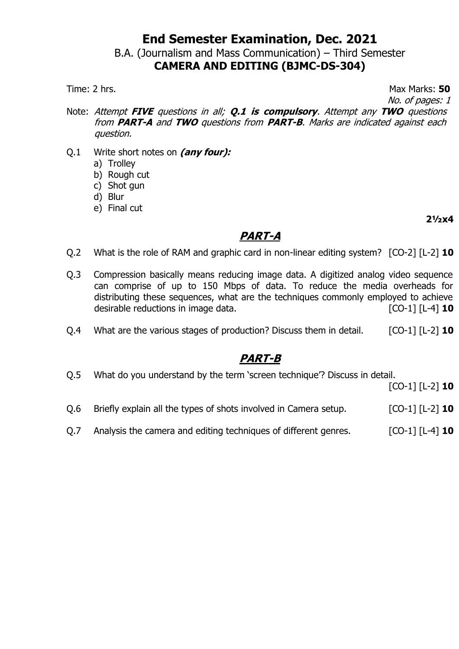B.A. (Journalism and Mass Communication) – Third Semester

# **CAMERA AND EDITING (BJMC-DS-304)**

Time: 2 hrs. Max Marks: **50** No. of pages: 1

- Note: Attempt **FIVE** questions in all; **Q.1 is compulsory**. Attempt any **TWO** questions from **PART-A** and **TWO** questions from **PART-B**. Marks are indicated against each question.
- Q.1 Write short notes on **(any four):**
	- a) Trolley
	- b) Rough cut
	- c) Shot gun
	- d) Blur
	- e) Final cut

**2½x4**

## **PART-A**

- Q.2 What is the role of RAM and graphic card in non-linear editing system? [CO-2] [L-2] **10**
- Q.3 Compression basically means reducing image data. A digitized analog video sequence can comprise of up to 150 Mbps of data. To reduce the media overheads for distributing these sequences, what are the techniques commonly employed to achieve desirable reductions in image data.  $\begin{bmatrix} [CO-1] & [L-4] \end{bmatrix}$  **10**
- Q.4 What are the various stages of production? Discuss them in detail. [CO-1] [L-2] **10**

## **PART-B**

Q.5 What do you understand by the term 'screen technique'? Discuss in detail.

[CO-1] [L-2] **10**

- Q.6 Briefly explain all the types of shots involved in Camera setup. [CO-1] [L-2] **10**
- Q.7 Analysis the camera and editing techniques of different genres. [CO-1] [L-4] **10**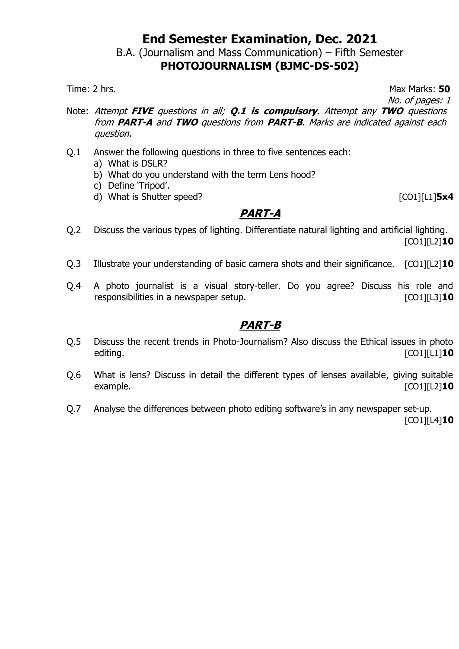B.A. (Journalism and Mass Communication) – Fifth Semester

## **PHOTOJOURNALISM (BJMC-DS-502)**

Time: 2 hrs. **50** No. of pages: 1

- Note: Attempt **FIVE** questions in all; **Q.1 is compulsory**. Attempt any **TWO** questions from **PART-A** and **TWO** questions from **PART-B**. Marks are indicated against each question.
- Q.1 Answer the following questions in three to five sentences each:
	- a) What is DSLR?
	- b) What do you understand with the term Lens hood?
	- c) Define 'Tripod'.
	- d) What is Shutter speed? [CO1][L1]**5x4**

## **PART-A**

- Q.2 Discuss the various types of lighting. Differentiate natural lighting and artificial lighting. [CO1][L2]**10**
- Q.3 Illustrate your understanding of basic camera shots and their significance. [CO1][L2]**10**
- Q.4 A photo journalist is a visual story-teller. Do you agree? Discuss his role and responsibilities in a newspaper setup. **Example 2014** [CO1][L3]<sup>10</sup>

- Q.5 Discuss the recent trends in Photo-Journalism? Also discuss the Ethical issues in photo editing. [CO1][L1]**10**
- Q.6 What is lens? Discuss in detail the different types of lenses available, giving suitable example. [CO1][L2]**10**
- Q.7 Analyse the differences between photo editing software's in any newspaper set-up. [CO1][L4]**10**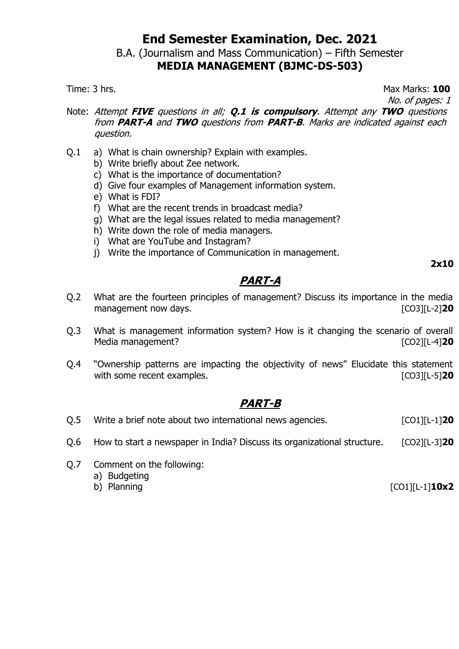# B.A. (Journalism and Mass Communication) – Fifth Semester

## **MEDIA MANAGEMENT (BJMC-DS-503)**

Time: 3 hrs. Max Marks: **100** No. of pages: 1

- Note: Attempt **FIVE** questions in all; **Q.1 is compulsory**. Attempt any **TWO** questions from **PART-A** and **TWO** questions from **PART-B**. Marks are indicated against each question.
- Q.1 a) What is chain ownership? Explain with examples.
	- b) Write briefly about Zee network.
	- c) What is the importance of documentation?
	- d) Give four examples of Management information system.
	- e) What is FDI?
	- f) What are the recent trends in broadcast media?
	- g) What are the legal issues related to media management?
	- h) Write down the role of media managers.
	- i) What are YouTube and Instagram?
	- j) Write the importance of Communication in management.

**2x10**

# **PART-A**

- Q.2 What are the fourteen principles of management? Discuss its importance in the media management now days. **Example 20** and the contract of the contract of the contract of the contract of the contract of the contract of the contract of the contract of the contract of the contract of the contract of the cont
- Q.3 What is management information system? How is it changing the scenario of overall Media management? **and CO2** [CO2][L-4] **20**
- Q.4 "Ownership patterns are impacting the objectivity of news" Elucidate this statement with some recent examples. **Examples** and the some state of  $[CO3][L-5]$ **20**

## **PART-B**

- Q.5 Write a brief note about two international news agencies. [CO1][L-1]<sup>20</sup>
- Q.6 How to start a newspaper in India? Discuss its organizational structure. [CO2][L-3]**20**
- Q.7 Comment on the following:
	- a) Budgeting
	-

b) Planning [CO1][L-1]**10x2**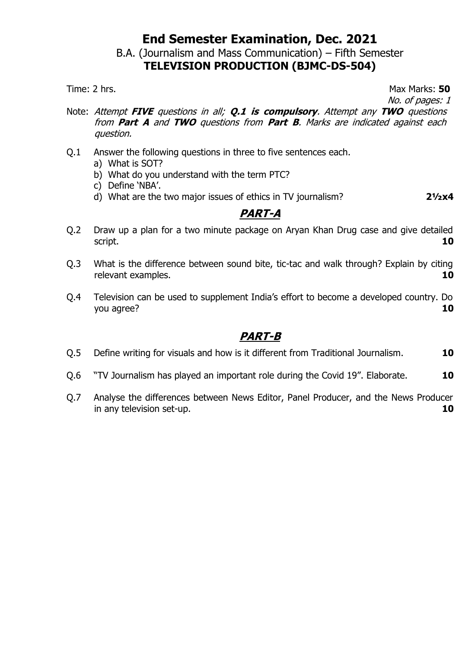#### B.A. (Journalism and Mass Communication) – Fifth Semester **TELEVISION PRODUCTION (BJMC-DS-504)**

Time: 2 hrs. Max Marks: **50** No. of pages: 1

- Note: Attempt **FIVE** questions in all; **Q.1 is compulsory**. Attempt any **TWO** questions from **Part A** and **TWO** questions from **Part B**. Marks are indicated against each question.
- Q.1 Answer the following questions in three to five sentences each.
	- a) What is SOT?
	- b) What do you understand with the term PTC?
	- c) Define 'NBA'.
	- d) What are the two major issues of ethics in TV journalism? **2½x4**

## **PART-A**

- Q.2 Draw up a plan for a two minute package on Aryan Khan Drug case and give detailed script. **10**
- Q.3 What is the difference between sound bite, tic-tac and walk through? Explain by citing relevant examples. **10**
- Q.4 Television can be used to supplement India's effort to become a developed country. Do you agree? **10**

- Q.5 Define writing for visuals and how is it different from Traditional Journalism. **10**
- Q.6 "TV Journalism has played an important role during the Covid 19". Elaborate. **10**
- Q.7 Analyse the differences between News Editor, Panel Producer, and the News Producer in any television set-up. **10**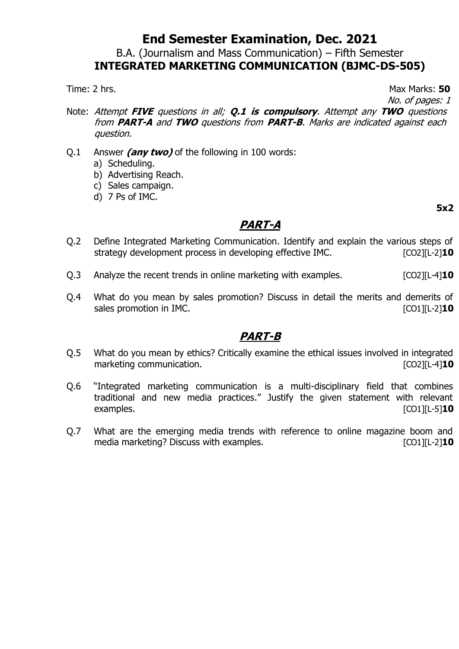B.A. (Journalism and Mass Communication) – Fifth Semester

## **INTEGRATED MARKETING COMMUNICATION (BJMC-DS-505)**

Time: 2 hrs. Max Marks: **50** 

- No. of pages: 1
- Note: Attempt **FIVE** questions in all; **Q.1 is compulsory**. Attempt any **TWO** questions from **PART-A** and **TWO** questions from **PART-B**. Marks are indicated against each question.
- Q.1 Answer **(any two)** of the following in 100 words:
	- a) Scheduling.
	- b) Advertising Reach.
	- c) Sales campaign.
	- d) 7 Ps of IMC.

#### **5x2**

## **PART-A**

- Q.2 Define Integrated Marketing Communication. Identify and explain the various steps of strategy development process in developing effective IMC. [CO2][L-2]<sup>10</sup>
- Q.3 Analyze the recent trends in online marketing with examples. [CO2][L-4]**10**
- Q.4 What do you mean by sales promotion? Discuss in detail the merits and demerits of sales promotion in IMC.

- Q.5 What do you mean by ethics? Critically examine the ethical issues involved in integrated marketing communication. The communication of the contraction of the contraction of the contraction of the contraction of the contraction of the contraction of the contraction of the contraction of the contraction of the c
- Q.6 "Integrated marketing communication is a multi-disciplinary field that combines traditional and new media practices." Justify the given statement with relevant examples. [CO1][L-5]**10**
- Q.7 What are the emerging media trends with reference to online magazine boom and media marketing? Discuss with examples. The state of the state of the state of the state of the state of the state of the state of the state of the state of the state of the state of the state of the state of the state of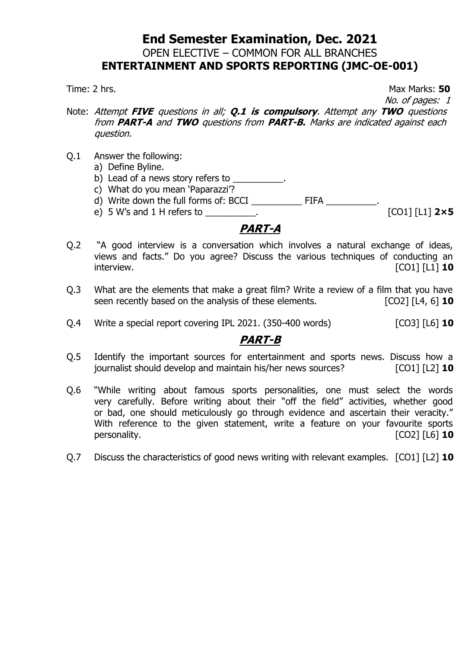## **End Semester Examination, Dec. 2021** OPEN ELECTIVE – COMMON FOR ALL BRANCHES **ENTERTAINMENT AND SPORTS REPORTING (JMC-OE-001)**

Time: 2 hrs. Max Marks: **50** No. of pages: 1

- Note: Attempt **FIVE** questions in all; **Q.1 is compulsory**. Attempt any **TWO** questions from **PART-A** and **TWO** questions from **PART-B.** Marks are indicated against each question.
- Q.1 Answer the following:
	- a) Define Byline.
	- b) Lead of a news story refers to \_\_\_\_\_\_\_\_\_\_.
	- c) What do you mean 'Paparazzi'?
	- d) Write down the full forms of: BCCI \_\_\_\_\_\_\_\_\_\_\_\_\_\_\_\_\_\_\_\_\_\_\_\_\_\_\_\_\_\_\_.
	- e) 5 W's and 1 H refers to \_\_\_\_\_\_\_\_\_\_. [CO1] [L1] **2×5**

## **PART-A**

- Q.2 "A good interview is a conversation which involves a natural exchange of ideas, views and facts." Do you agree? Discuss the various techniques of conducting an interview. [CO1] [L1] **10**
- Q.3 What are the elements that make a great film? Write a review of a film that you have seen recently based on the analysis of these elements. **[CO2]** [L4, 6] **10**
- Q.4 Write a special report covering IPL 2021. (350-400 words) [CO3] [L6] **10**

- Q.5 Identify the important sources for entertainment and sports news. Discuss how a journalist should develop and maintain his/her news sources? [CO1] [L2] **10**
- Q.6 "While writing about famous sports personalities, one must select the words very carefully. Before writing about their "off the field" activities, whether good or bad, one should meticulously go through evidence and ascertain their veracity." With reference to the given statement, write a feature on your favourite sports personality. **[CO2]** [L6] **10**
- Q.7 Discuss the characteristics of good news writing with relevant examples. [CO1] [L2] **10**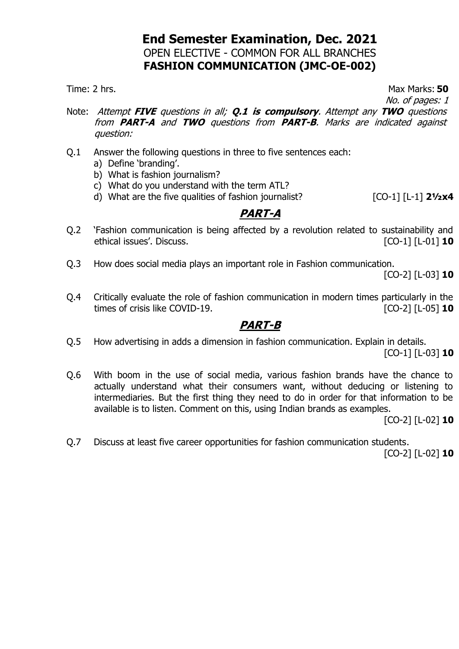## **End Semester Examination, Dec. 2021** OPEN ELECTIVE - COMMON FOR ALL BRANCHES **FASHION COMMUNICATION (JMC-OE-002)**

Time: 2 hrs. Max Marks: **50** No. of pages: 1

- Note: Attempt **FIVE** questions in all; **Q.1 is compulsory**. Attempt any **TWO** questions from **PART-A** and **TWO** questions from **PART-B**. Marks are indicated against question:
- Q.1 Answer the following questions in three to five sentences each:
	- a) Define 'branding'.
	- b) What is fashion journalism?
	- c) What do you understand with the term ATL?
	- d) What are the five qualities of fashion journalist? [CO-1] [L-1] **2½x4**

#### **PART-A**

- Q.2 'Fashion communication is being affected by a revolution related to sustainability and ethical issues'. Discuss. [CO-1] [L-01] **10**
- Q.3 How does social media plays an important role in Fashion communication.

[CO-2] [L-03] **10**

Q.4 Critically evaluate the role of fashion communication in modern times particularly in the times of crisis like COVID-19.

#### **PART-B**

- Q.5 How advertising in adds a dimension in fashion communication. Explain in details. [CO-1] [L-03] **10**
- Q.6 With boom in the use of social media, various fashion brands have the chance to actually understand what their consumers want, without deducing or listening to intermediaries. But the first thing they need to do in order for that information to be available is to listen. Comment on this, using Indian brands as examples.

[CO-2] [L-02] **10**

Q.7 Discuss at least five career opportunities for fashion communication students.

[CO-2] [L-02] **10**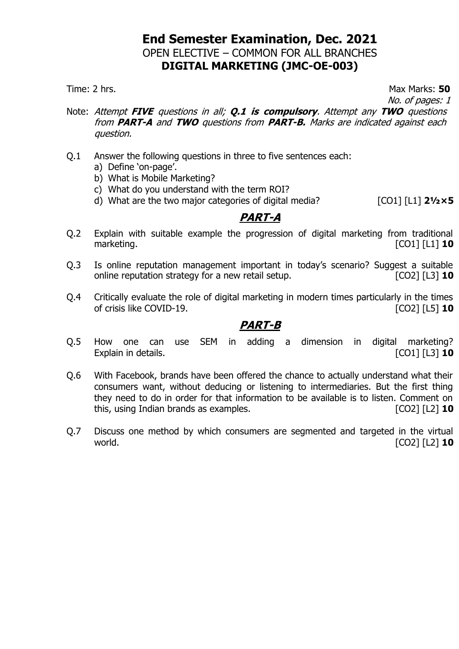## **End Semester Examination, Dec. 2021** OPEN ELECTIVE – COMMON FOR ALL BRANCHES **DIGITAL MARKETING (JMC-OE-003)**

Time: 2 hrs. **50** 

- No. of pages: 1
- Note: Attempt **FIVE** questions in all; **Q.1 is compulsory**. Attempt any **TWO** questions from **PART-A** and **TWO** questions from **PART-B.** Marks are indicated against each question.
- Q.1 Answer the following questions in three to five sentences each:
	- a) Define 'on-page'.
	- b) What is Mobile Marketing?
	- c) What do you understand with the term ROI?
	- d) What are the two major categories of digital media? [CO1] [L1] **2½×5**

#### **PART-A**

- Q.2 Explain with suitable example the progression of digital marketing from traditional marketing. [CO1] [L1] **10**
- Q.3 Is online reputation management important in today's scenario? Suggest a suitable online reputation strategy for a new retail setup. [CO2] [L3] **10**
- Q.4 Critically evaluate the role of digital marketing in modern times particularly in the times of crisis like COVID-19. [CO2] [L5] **10**

- Q.5 How one can use SEM in adding a dimension in digital marketing? Explain in details. **Explain** in details. **Explain** in details.
- Q.6 With Facebook, brands have been offered the chance to actually understand what their consumers want, without deducing or listening to intermediaries. But the first thing they need to do in order for that information to be available is to listen. Comment on this, using Indian brands as examples. [CO2] [L2] **10**
- Q.7 Discuss one method by which consumers are segmented and targeted in the virtual world. [CO2] [L2] **10**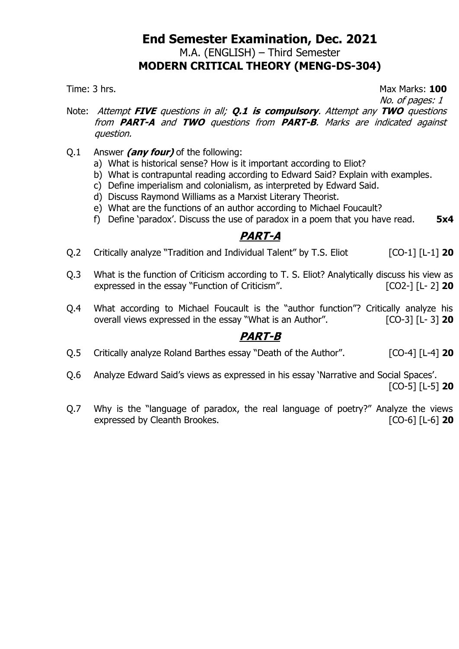## **End Semester Examination, Dec. 2021** M.A. (ENGLISH) – Third Semester **MODERN CRITICAL THEORY (MENG-DS-304)**

Time: 3 hrs. **100** 

- No. of pages: 1
- Note: Attempt **FIVE** questions in all; **Q.1 is compulsory**. Attempt any **TWO** questions from **PART-A** and **TWO** questions from **PART-B**. Marks are indicated against question.
- Q.1 Answer **(any four)** of the following:
	- a) What is historical sense? How is it important according to Eliot?
	- b) What is contrapuntal reading according to Edward Said? Explain with examples.
	- c) Define imperialism and colonialism, as interpreted by Edward Said.
	- d) Discuss Raymond Williams as a Marxist Literary Theorist.
	- e) What are the functions of an author according to Michael Foucault?
	- f) Define 'paradox'. Discuss the use of paradox in a poem that you have read. **5x4**

## **PART-A**

- Q.2 Critically analyze "Tradition and Individual Talent" by T.S. Eliot [CO-1] [L-1] 20
- Q.3 What is the function of Criticism according to T. S. Eliot? Analytically discuss his view as expressed in the essay "Function of Criticism". [CO2-] [L- 2] **20**
- Q.4 What according to Michael Foucault is the "author function"? Critically analyze his overall views expressed in the essay "What is an Author". [CO-3] [L- 3] **20**

- Q.5 Critically analyze Roland Barthes essay "Death of the Author". [CO-4] [L-4] **20**
- Q.6 Analyze Edward Said's views as expressed in his essay 'Narrative and Social Spaces'. [CO-5] [L-5] **20**
- Q.7 Why is the "language of paradox, the real language of poetry?" Analyze the views expressed by Cleanth Brookes. [CO-6] [L-6] **20**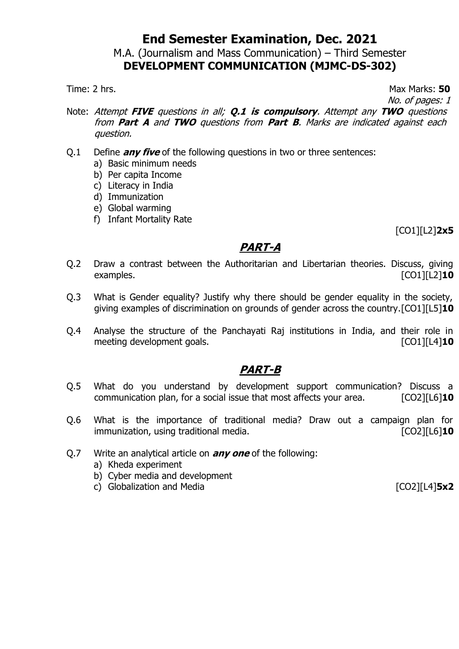#### M.A. (Journalism and Mass Communication) – Third Semester **DEVELOPMENT COMMUNICATION (MJMC-DS-302)**

Time: 2 hrs. **50** 

No. of pages: 1

- Note: Attempt **FIVE** questions in all; **Q.1 is compulsory**. Attempt any **TWO** questions from **Part A** and **TWO** questions from **Part B**. Marks are indicated against each question.
- Q.1 Define **any five** of the following questions in two or three sentences:
	- a) Basic minimum needs
	- b) Per capita Income
	- c) Literacy in India
	- d) Immunization
	- e) Global warming
	- f) Infant Mortality Rate

[CO1][L2]**2x5**

## **PART-A**

- Q.2 Draw a contrast between the Authoritarian and Libertarian theories. Discuss, giving examples. **Examples Examples Examples EXAMPLES EXAMPLES EXAMPLES EXAMPLES EXAMPLES EXAMPLES EXAMPLES**
- Q.3 What is Gender equality? Justify why there should be gender equality in the society, giving examples of discrimination on grounds of gender across the country.[CO1][L5]**10**
- Q.4 Analyse the structure of the Panchayati Raj institutions in India, and their role in meeting development goals.

- Q.5 What do you understand by development support communication? Discuss a communication plan, for a social issue that most affects your area. [CO2][L6]**10**
- Q.6 What is the importance of traditional media? Draw out a campaign plan for immunization, using traditional media. [CO2][L6]**10**
- Q.7 Write an analytical article on **any one** of the following:
	- a) Kheda experiment
	- b) Cyber media and development
	- c) Globalization and Media [CO2][L4]**5x2**